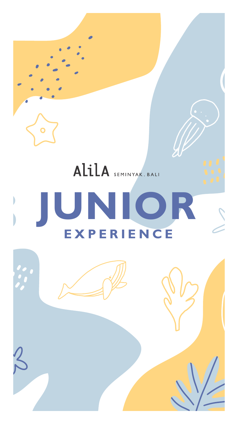

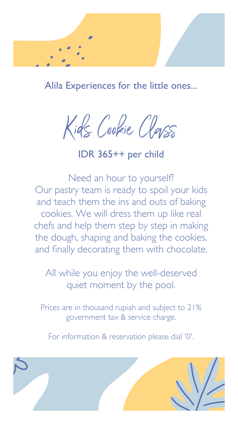

Alila Experiences for the little ones...



IDR 365++ per child

Need an hour to yourself? Our pastry team is ready to spoil your kids and teach them the ins and outs of baking cookies. We will dress them up like real chefs and help them step by step in making **h** the dough, shaping and baking the cookies, and finally decorating them with chocolate. Jur pastry team is ready to spoil your kids<br>and teach them the ins and outs of baking<br>cookies. We will dress them up like real<br>thefs and help them step by step in making

All while you enjoy the well-deserved quiet moment by the pool.

Prices are in thousand rupiah and subject to 21% government tax & service charge.

For information & reservation please dial '0'.

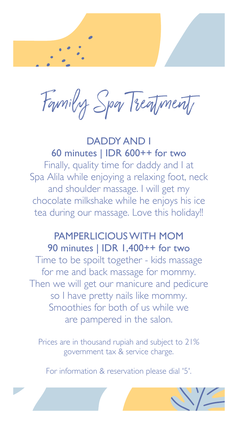

Family Spa Treatment

DADDY AND I 60 minutes | IDR 600++ for two Finally, quality time for daddy and I at Spa Alila while enjoying a relaxing foot, neck and shoulder massage. I will get my and shoulder massage. I will get my<br>chocolate milkshake while he enjoys his ice<br>tea during our massage. Love this holiday!! tea during our massage. Love this holiday!!

## **PAMPERLICIOUS WITH MOM** 90 minutes | IDR 1,400++ for two

Time to be spoilt together - kids massage for me and back massage for mommy. Then we will get our manicure and pedicure so I have pretty nails like mommy. Smoothies for both of us while we are pampered in the salon.

Prices are in thousand rupiah and subject to 21% government tax & service charge.

For information & reservation please dial '5'.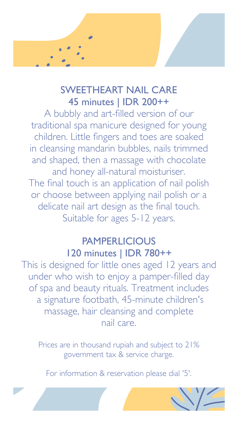## SWEETHEART NAIL CARE 45 minutes | IDR 200++

or choose between applying nail polish or a<br>
delicate nail art design as the final touch.<br>
Suitable for ages 5-12 years. A bubbly and art-filled version of our traditional spa manicure designed for young children. Little fingers and toes are soaked in cleansing mandarin bubbles, nails trimmed and shaped, then a massage with chocolate and honey all-natural moisturiser. The final touch is an application of nail polish delicate nail art design as the final touch. Suitable for ages 5-12 years.

# $PAMPERLICIOUS$ 120 minutes | IDR 780++

This is designed for little ones aged 12 years and under who wish to enjoy a pamper-filled day of spa and beauty rituals. Treatment includes a signature footbath, 45-minute children's massage, hair cleansing and complete nail care.

Prices are in thousand rupiah and subject to 21% government tax & service charge.

For information & reservation please dial '5'.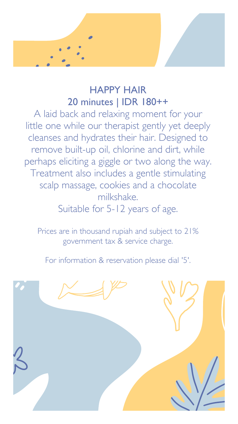### HAPPY HAIR 20 minutes | IDR 180++

A laid back and relaxing moment for your little one while our therapist gently yet deeply cleanses and hydrates their hair. Designed to remove built-up oil, chlorine and dirt, while perhaps eliciting a giggle or two along the way. Treatment also includes a gentle stimulating scalp massage, cookies and a chocolate milkshake. Suitable for 5-12 years of age.

Prices are in thousand rupiah and subject to 21% government tax & service charge.

For information & reservation please dial '5'.

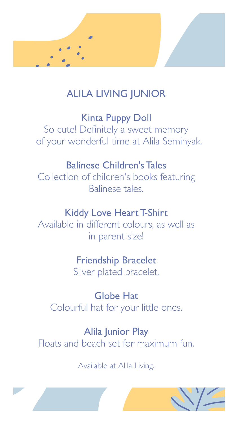# ALILA LIVING JUNIOR

Kinta Puppy Doll So cute! Definitely a sweet memory of your wonderful time at Alila Seminyak.

Balinese Children's Tales

Collection of children's books featuring Balinese tales.

## Kiddy Love Heart T-Shirt

Bannese tates.<br> **JUNIOR**<br>Available in different colours, as well as  $\frac{1}{2}$  **in parent size!** 

#### Friendship Bracelet

Silver plated bracelet.

Globe Hat Colourful hat for your little ones.

Alila Junior Play Floats and beach set for maximum fun.

Available at Alila Living.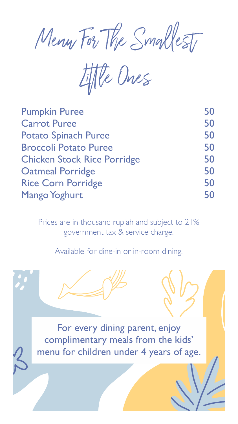Menuy For The Smallest,

Lile Ones

| <b>Pumpkin Puree</b>               | 50 |
|------------------------------------|----|
| <b>Carrot Puree</b>                | 50 |
| <b>Potato Spinach Puree</b>        | 50 |
| <b>Broccoli Potato Puree</b>       | 50 |
| <b>Chicken Stock Rice Porridge</b> | 50 |
| <b>Oatmeal Porridge</b>            | 50 |
| <b>Rice Corn Porridge</b>          | 50 |
| Mango Yoghurt                      | 50 |

Prices are in thousand rupiah and subject to 21% government tax & service charge.

Available for dine-in or in-room dining.

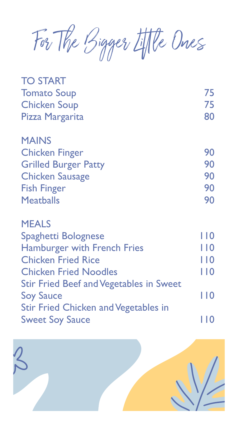For The Bigger Liftle Ones

| <b>TO START</b>                                |                 |
|------------------------------------------------|-----------------|
| <b>Tomato Soup</b>                             | 75              |
| <b>Chicken Soup</b>                            | 75              |
| Pizza Margarita                                | 80              |
| <b>MAINS</b>                                   |                 |
| <b>Chicken Finger</b>                          | 90              |
| <b>Grilled Burger Patty</b>                    | 90              |
| <b>Chicken Sausage</b>                         | 90              |
| <b>Fish Finger</b>                             | 90              |
| <b>Meatballs</b>                               | 90              |
| <b>MEALS</b>                                   |                 |
| Spaghetti Bolognese                            | l 10            |
| Hamburger with French Fries                    | l 10            |
| <b>Chicken Fried Rice</b>                      | l 10            |
| <b>Chicken Fried Noodles</b>                   | l 10            |
| <b>Stir Fried Beef and Vegetables in Sweet</b> |                 |
| <b>Soy Sauce</b>                               | l 10            |
| <b>Stir Fried Chicken and Vegetables in</b>    |                 |
| <b>Sweet Soy Sauce</b>                         | $\overline{10}$ |